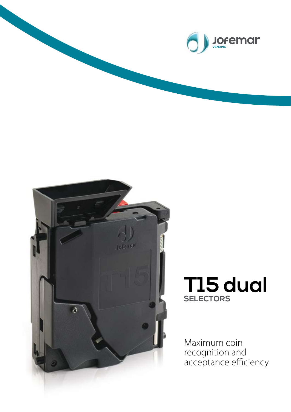



## **T15 dual SELECTORS**

Maximum coin recognition and acceptance efficiency